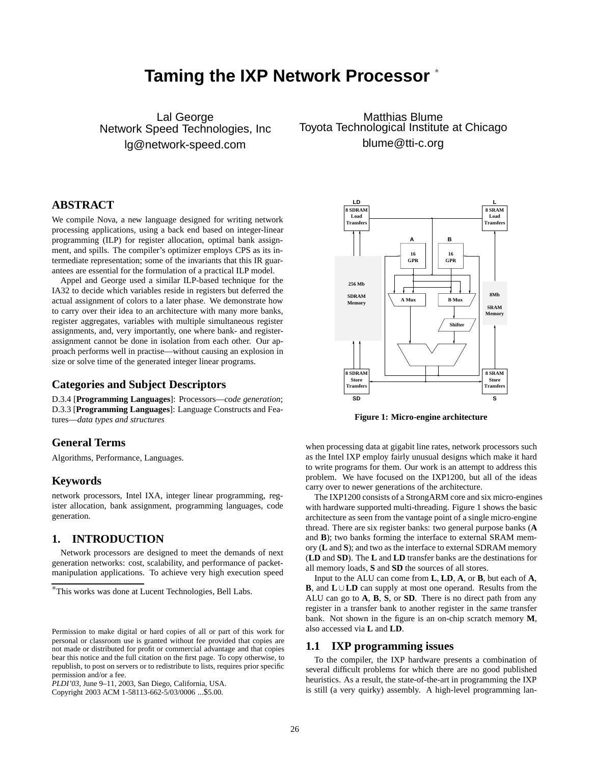# **Taming the IXP Network Processor** <sup>∗</sup>

Lal George Network Speed Technologies, Inc lg@network-speed.com

Matthias Blume Toyota Technological Institute at Chicago blume@tti-c.org

# **ABSTRACT**

We compile Nova, a new language designed for writing network processing applications, using a back end based on integer-linear programming (ILP) for register allocation, optimal bank assignment, and spills. The compiler's optimizer employs CPS as its intermediate representation; some of the invariants that this IR guarantees are essential for the formulation of a practical ILP model.

Appel and George used a similar ILP-based technique for the IA32 to decide which variables reside in registers but deferred the actual assignment of colors to a later phase. We demonstrate how to carry over their idea to an architecture with many more banks, register aggregates, variables with multiple simultaneous register assignments, and, very importantly, one where bank- and registerassignment cannot be done in isolation from each other. Our approach performs well in practise—without causing an explosion in size or solve time of the generated integer linear programs.

# **Categories and Subject Descriptors**

D.3.4 [**Programming Languages**]: Processors—*code generation*; D.3.3 [**Programming Languages**]: Language Constructs and Features—*data types and structures*

# **General Terms**

Algorithms, Performance, Languages.

#### **Keywords**

network processors, Intel IXA, integer linear programming, register allocation, bank assignment, programming languages, code generation.

# **1. INTRODUCTION**

Network processors are designed to meet the demands of next generation networks: cost, scalability, and performance of packetmanipulation applications. To achieve very high execution speed



**Figure 1: Micro-engine architecture**

when processing data at gigabit line rates, network processors such as the Intel IXP employ fairly unusual designs which make it hard to write programs for them. Our work is an attempt to address this problem. We have focused on the IXP1200, but all of the ideas carry over to newer generations of the architecture.

The IXP1200 consists of a StrongARM core and six micro-engines with hardware supported multi-threading. Figure 1 shows the basic architecture as seen from the vantage point of a single micro-engine thread. There are six register banks: two general purpose banks (**A** and **B**); two banks forming the interface to external SRAM memory (**L** and **S**); and two as the interface to external SDRAM memory (**LD** and **SD**). The **L** and **LD** transfer banks are the destinations for all memory loads, **S** and **SD** the sources of all stores.

Input to the ALU can come from **L**, **LD**, **A**, or **B**, but each of **A**, **B**, and **L**∪**LD** can supply at most one operand. Results from the ALU can go to **A**, **B**, **S**, or **SD**. There is no direct path from any register in a transfer bank to another register in the same transfer bank. Not shown in the figure is an on-chip scratch memory **M**, also accessed via **L** and **LD**.

#### **1.1 IXP programming issues**

To the compiler, the IXP hardware presents a combination of several difficult problems for which there are no good published heuristics. As a result, the state-of-the-art in programming the IXP is still (a very quirky) assembly. A high-level programming lan-

<sup>∗</sup>This works was done at Lucent Technologies, Bell Labs.

Permission to make digital or hard copies of all or part of this work for personal or classroom use is granted without fee provided that copies are not made or distributed for profit or commercial advantage and that copies bear this notice and the full citation on the first page. To copy otherwise, to republish, to post on servers or to redistribute to lists, requires prior specific permission and/or a fee.

*PLDI'03,* June 9–11, 2003, San Diego, California, USA.

Copyright 2003 ACM 1-58113-662-5/03/0006 ...\$5.00.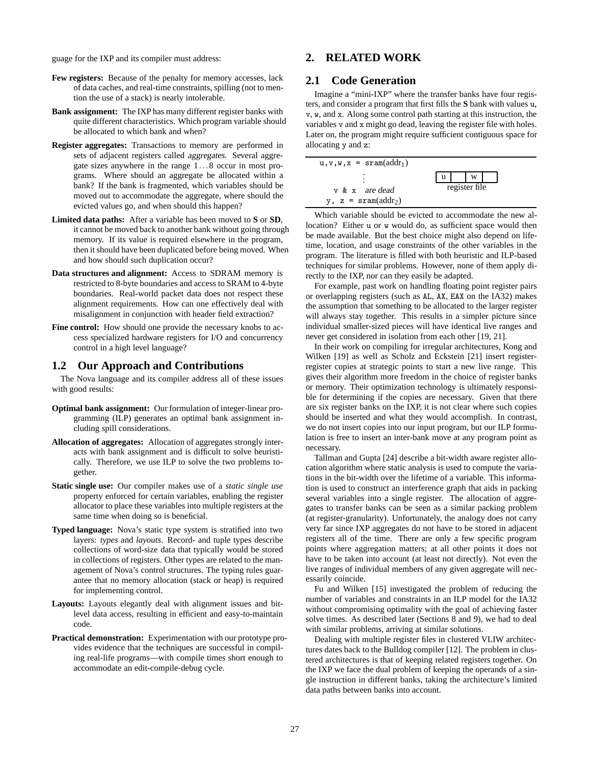guage for the IXP and its compiler must address:

- **Few registers:** Because of the penalty for memory accesses, lack of data caches, and real-time constraints, spilling (not to mention the use of a stack) is nearly intolerable.
- **Bank assignment:** The IXP has many different register banks with quite different characteristics. Which program variable should be allocated to which bank and when?
- **Register aggregates:** Transactions to memory are performed in sets of adjacent registers called aggregates. Several aggregate sizes anywhere in the range 1*...*8 occur in most programs. Where should an aggregate be allocated within a bank? If the bank is fragmented, which variables should be moved out to accommodate the aggregate, where should the evicted values go, and when should this happen?
- **Limited data paths:** After a variable has been moved to **S** or **SD**, it cannot be moved back to another bank without going through memory. If its value is required elsewhere in the program, then it should have been duplicated before being moved. When and how should such duplication occur?
- **Data structures and alignment:** Access to SDRAM memory is restricted to 8-byte boundaries and access to SRAM to 4-byte boundaries. Real-world packet data does not respect these alignment requirements. How can one effectively deal with misalignment in conjunction with header field extraction?
- **Fine control:** How should one provide the necessary knobs to access specialized hardware registers for I/O and concurrency control in a high level language?

# **1.2 Our Approach and Contributions**

The Nova language and its compiler address all of these issues with good results:

- **Optimal bank assignment:** Our formulation of integer-linear programming (ILP) generates an optimal bank assignment including spill considerations.
- **Allocation of aggregates:** Allocation of aggregates strongly interacts with bank assignment and is difficult to solve heuristically. Therefore, we use ILP to solve the two problems together.
- **Static single use:** Our compiler makes use of a *static single use* property enforced for certain variables, enabling the register allocator to place these variables into multiple registers at the same time when doing so is beneficial.
- **Typed language:** Nova's static type system is stratified into two layers: *types* and *layouts*. Record- and tuple types describe collections of word-size data that typically would be stored in collections of registers. Other types are related to the management of Nova's control structures. The typing rules guarantee that no memory allocation (stack or heap) is required for implementing control.
- **Layouts:** Layouts elegantly deal with alignment issues and bitlevel data access, resulting in efficient and easy-to-maintain code.
- **Practical demonstration:** Experimentation with our prototype provides evidence that the techniques are successful in compiling real-life programs—with compile times short enough to accommodate an edit-compile-debug cycle.

# **2. RELATED WORK**

### **2.1 Code Generation**

Imagine a "mini-IXP" where the transfer banks have four registers, and consider a program that first fills the **S** bank with values u, v, w, and x. Along some control path starting at this instruction, the variables v and x might go dead, leaving the register file with holes. Later on, the program might require sufficient contiguous space for allocating y and z:

| $u, v, w, x = \text{gram}(\text{addr}_1)$                               |   |                    |  |
|-------------------------------------------------------------------------|---|--------------------|--|
| ٠<br>٠<br>٠<br>v & x are dead<br>$y$ , $z = \text{gram}(\text{addr}_2)$ | u | W<br>register file |  |

Which variable should be evicted to accommodate the new allocation? Either u or w would do, as sufficient space would then be made available. But the best choice might also depend on lifetime, location, and usage constraints of the other variables in the program. The literature is filled with both heuristic and ILP-based techniques for similar problems. However, none of them apply directly to the IXP, nor can they easily be adapted.

For example, past work on handling floating point register pairs or overlapping registers (such as AL, AX, EAX on the IA32) makes the assumption that something to be allocated to the larger register will always stay together. This results in a simpler picture since individual smaller-sized pieces will have identical live ranges and never get considered in isolation from each other [19, 21].

In their work on compiling for irregular architectures, Kong and Wilken [19] as well as Scholz and Eckstein [21] insert registerregister copies at strategic points to start a new live range. This gives their algorithm more freedom in the choice of register banks or memory. Their optimization technology is ultimately responsible for determining if the copies are necessary. Given that there are six register banks on the IXP, it is not clear where such copies should be inserted and what they would accomplish. In contrast, we do not insert copies into our input program, but our ILP formulation is free to insert an inter-bank move at any program point as necessary.

Tallman and Gupta [24] describe a bit-width aware register allocation algorithm where static analysis is used to compute the variations in the bit-width over the lifetime of a variable. This information is used to construct an interference graph that aids in packing several variables into a single register. The allocation of aggregates to transfer banks can be seen as a similar packing problem (at register-granularity). Unfortunately, the analogy does not carry very far since IXP aggregates do not have to be stored in adjacent registers all of the time. There are only a few specific program points where aggregation matters; at all other points it does not have to be taken into account (at least not directly). Not even the live ranges of individual members of any given aggregate will necessarily coincide.

Fu and Wilken [15] investigated the problem of reducing the number of variables and constraints in an ILP model for the IA32 without compromising optimality with the goal of achieving faster solve times. As described later (Sections 8 and 9), we had to deal with similar problems, arriving at similar solutions.

Dealing with multiple register files in clustered VLIW architectures dates back to the Bulldog compiler [12]. The problem in clustered architectures is that of keeping related registers together. On the IXP we face the dual problem of keeping the operands of a single instruction in different banks, taking the architecture's limited data paths between banks into account.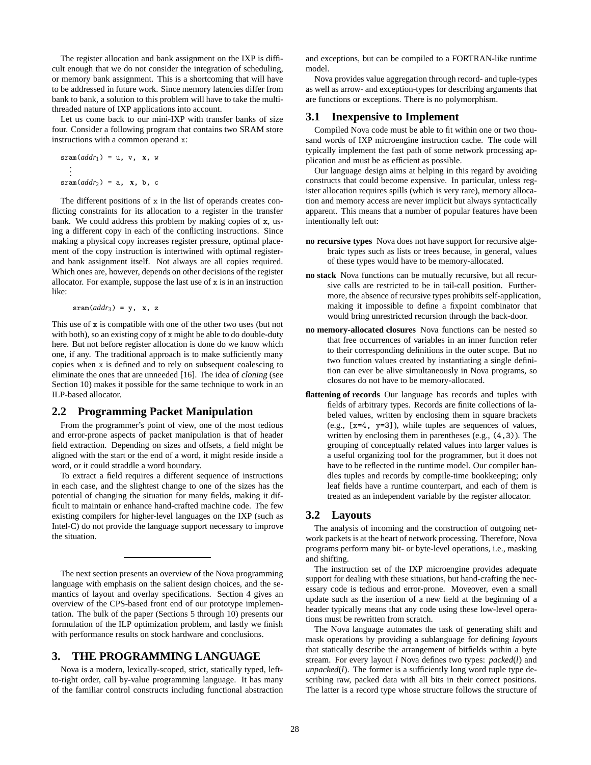The register allocation and bank assignment on the IXP is difficult enough that we do not consider the integration of scheduling, or memory bank assignment. This is a shortcoming that will have to be addressed in future work. Since memory latencies differ from bank to bank, a solution to this problem will have to take the multithreaded nature of IXP applications into account.

Let us come back to our mini-IXP with transfer banks of size four. Consider a following program that contains two SRAM store instructions with a common operand x:

```
sram(addr1) = u, v, x, w
  .
  .
  .
sram(addr2) = a, x, b, c
```
The different positions of x in the list of operands creates conflicting constraints for its allocation to a register in the transfer bank. We could address this problem by making copies of x, using a different copy in each of the conflicting instructions. Since making a physical copy increases register pressure, optimal placement of the copy instruction is intertwined with optimal registerand bank assignment itself. Not always are all copies required. Which ones are, however, depends on other decisions of the register allocator. For example, suppose the last use of  $x$  is in an instruction like:

sram(*addr*3) = y, **x**, z

This use of x is compatible with one of the other two uses (but not with both), so an existing copy of x might be able to do double-duty here. But not before register allocation is done do we know which one, if any. The traditional approach is to make sufficiently many copies when x is defined and to rely on subsequent coalescing to eliminate the ones that are unneeded [16]. The idea of cloning (see Section 10) makes it possible for the same technique to work in an ILP-based allocator.

### **2.2 Programming Packet Manipulation**

From the programmer's point of view, one of the most tedious and error-prone aspects of packet manipulation is that of header field extraction. Depending on sizes and offsets, a field might be aligned with the start or the end of a word, it might reside inside a word, or it could straddle a word boundary.

To extract a field requires a different sequence of instructions in each case, and the slightest change to one of the sizes has the potential of changing the situation for many fields, making it difficult to maintain or enhance hand-crafted machine code. The few existing compilers for higher-level languages on the IXP (such as Intel-C) do not provide the language support necessary to improve the situation.

The next section presents an overview of the Nova programming language with emphasis on the salient design choices, and the semantics of layout and overlay specifications. Section 4 gives an overview of the CPS-based front end of our prototype implementation. The bulk of the paper (Sections 5 through 10) presents our formulation of the ILP optimization problem, and lastly we finish with performance results on stock hardware and conclusions.

# **3. THE PROGRAMMING LANGUAGE**

Nova is a modern, lexically-scoped, strict, statically typed, leftto-right order, call by-value programming language. It has many of the familiar control constructs including functional abstraction

and exceptions, but can be compiled to a FORTRAN-like runtime model.

Nova provides value aggregation through record- and tuple-types as well as arrow- and exception-types for describing arguments that are functions or exceptions. There is no polymorphism.

# **3.1 Inexpensive to Implement**

Compiled Nova code must be able to fit within one or two thousand words of IXP microengine instruction cache. The code will typically implement the fast path of some network processing application and must be as efficient as possible.

Our language design aims at helping in this regard by avoiding constructs that could become expensive. In particular, unless register allocation requires spills (which is very rare), memory allocation and memory access are never implicit but always syntactically apparent. This means that a number of popular features have been intentionally left out:

- **no recursive types** Nova does not have support for recursive algebraic types such as lists or trees because, in general, values of these types would have to be memory-allocated.
- **no stack** Nova functions can be mutually recursive, but all recursive calls are restricted to be in tail-call position. Furthermore, the absence of recursive types prohibits self-application, making it impossible to define a fixpoint combinator that would bring unrestricted recursion through the back-door.
- **no memory-allocated closures** Nova functions can be nested so that free occurrences of variables in an inner function refer to their corresponding definitions in the outer scope. But no two function values created by instantiating a single definition can ever be alive simultaneously in Nova programs, so closures do not have to be memory-allocated.
- **flattening of records** Our language has records and tuples with fields of arbitrary types. Records are finite collections of labeled values, written by enclosing them in square brackets (e.g., [x=4, y=3]), while tuples are sequences of values, written by enclosing them in parentheses (e.g., (4,3)). The grouping of conceptually related values into larger values is a useful organizing tool for the programmer, but it does not have to be reflected in the runtime model. Our compiler handles tuples and records by compile-time bookkeeping; only leaf fields have a runtime counterpart, and each of them is treated as an independent variable by the register allocator.

# **3.2 Layouts**

The analysis of incoming and the construction of outgoing network packets is at the heart of network processing. Therefore, Nova programs perform many bit- or byte-level operations, i.e., masking and shifting.

The instruction set of the IXP microengine provides adequate support for dealing with these situations, but hand-crafting the necessary code is tedious and error-prone. Moveover, even a small update such as the insertion of a new field at the beginning of a header typically means that any code using these low-level operations must be rewritten from scratch.

The Nova language automates the task of generating shift and mask operations by providing a sublanguage for defining *layouts* that statically describe the arrangement of bitfields within a byte stream. For every layout *l* Nova defines two types: *packed*(*l*) and *unpacked*(*l*). The former is a sufficiently long word tuple type describing raw, packed data with all bits in their correct positions. The latter is a record type whose structure follows the structure of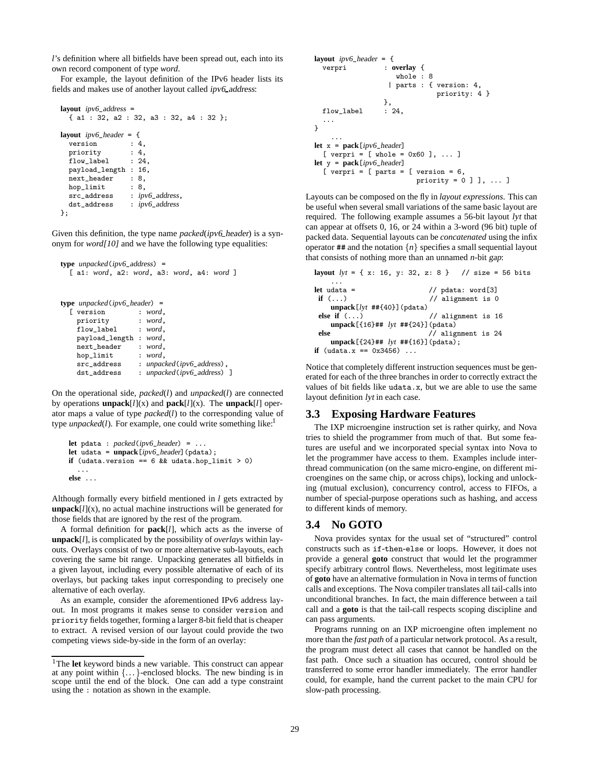*l*'s definition where all bitfields have been spread out, each into its own record component of type *word*.

For example, the layout definition of the IPv6 header lists its fields and makes use of another layout called ipv6 address:

```
layout ipv6_address =
  { a1 : 32, a2 : 32, a3 : 32, a4 : 32 };
layout ipv6_header = {
  version : 4,
  priority : 4,
 flow label : 24.
  payload_length : 16,
  next_header : 8,
 hop_limit : 8,
  src_address : ipv6_address,
  dst_address : ipv6_address
};
```
Given this definition, the type name *packed*(ipv6\_header) is a synonym for *word[10]* and we have the following type equalities:

```
type unpacked(ipv6_address) =
  [ a1: word, a2: word, a3: word, a4: word ]
```

```
type unpacked(ipv6_header) =
  [ version : word,
    priority : word,
    flow label : word.
    payload_length : word,
    next_header : word,
    hop_limit : word,
    src_address : unpacked(ipv6_address),<br>dst_address : unpacked(ipv6_address)
                     : unpacked(ipv6_address) ]
```
On the operational side, *packed*(*l*) and *unpacked*(*l*) are connected by operations **unpack**[*l*](x) and **pack**[*l*](x). The **unpack**[*l*] operator maps a value of type *packed*(*l*) to the corresponding value of type *unpacked*(*l*). For example, one could write something like:<sup>1</sup>

```
let pdata : packed(ipv6_header) = ...
let udata = unpack[ipv6_header](pdata);
if (udata.version == 6 && udata.hop_limit > 0)
  ...
else ...
```
Although formally every bitfield mentioned in *l* gets extracted by **unpack**[*l*](x), no actual machine instructions will be generated for those fields that are ignored by the rest of the program.

A formal definition for **pack**[*l*], which acts as the inverse of **unpack**[*l*], is complicated by the possibility of *overlays* within layouts. Overlays consist of two or more alternative sub-layouts, each covering the same bit range. Unpacking generates all bitfields in a given layout, including every possible alternative of each of its overlays, but packing takes input corresponding to precisely one alternative of each overlay.

As an example, consider the aforementioned IPv6 address layout. In most programs it makes sense to consider version and priority fields together, forming a larger 8-bit field that is cheaper to extract. A revised version of our layout could provide the two competing views side-by-side in the form of an overlay:

```
layout ipv6_header = {
  verpri : overlay {
                    whole : 8
                  | parts : { version: 4,
                              priority: 4 }
                 },
  flow_label : 24,
  ...
}
    ...
let x = pack[ipv6_header]
  [ verpri = [ whole = 0x60 ], ... ]
let y = pack[ipv6_header]
  [ verpri = [ parts = [ version = 6,
                         priority = 0 ] ], ... ]
```
Layouts can be composed on the fly in *layout expressions*. This can be useful when several small variations of the same basic layout are required. The following example assumes a 56-bit layout lyt that can appear at offsets 0, 16, or 24 within a 3-word (96 bit) tuple of packed data. Sequential layouts can be *concatenated* using the infix operator  $#$  and the notation  ${n}$  specifies a small sequential layout that consists of nothing more than an unnamed *n*-bit gap:

```
layout lyt = { x: 16, y: 32, z: 8 } // size = 56 bits
    ...
let udata = \frac{1}{3} if (...) \frac{1}{3} if (...)
                          // alignment is 0
   unpack[lyt ##{40}](pdata)
 else if (...) // alignment is 16
   unpack[{16}## lyt ##{24}](pdata)
 else // alignment is 24
   unpack[{24}## lyt ##{16}](pdata);
if (udata.x == 0x3456) ...
```
Notice that completely different instruction sequences must be generated for each of the three branches in order to correctly extract the values of bit fields like udata.x, but we are able to use the same layout definition lyt in each case.

### **3.3 Exposing Hardware Features**

The IXP microengine instruction set is rather quirky, and Nova tries to shield the programmer from much of that. But some features are useful and we incorporated special syntax into Nova to let the programmer have access to them. Examples include interthread communication (on the same micro-engine, on different microengines on the same chip, or across chips), locking and unlocking (mutual exclusion), concurrency control, access to FIFOs, a number of special-purpose operations such as hashing, and access to different kinds of memory.

# **3.4 No GOTO**

Nova provides syntax for the usual set of "structured" control constructs such as if-then-else or loops. However, it does not provide a general **goto** construct that would let the programmer specify arbitrary control flows. Nevertheless, most legitimate uses of **goto** have an alternative formulation in Nova in terms of function calls and exceptions. The Nova compiler translates all tail-calls into unconditional branches. In fact, the main difference between a tail call and a **goto** is that the tail-call respects scoping discipline and can pass arguments.

Programs running on an IXP microengine often implement no more than the *fast path* of a particular network protocol. As a result, the program must detect all cases that cannot be handled on the fast path. Once such a situation has occured, control should be transferred to some error handler immediately. The error handler could, for example, hand the current packet to the main CPU for slow-path processing.

<sup>1</sup>The **let** keyword binds a new variable. This construct can appear at any point within *{*... *}*-enclosed blocks. The new binding is in scope until the end of the block. One can add a type constraint using the : notation as shown in the example.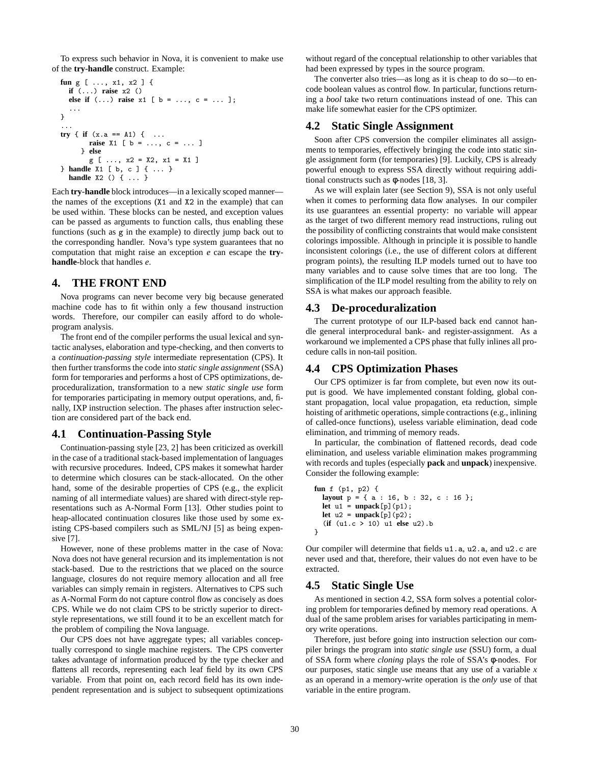To express such behavior in Nova, it is convenient to make use of the **try**-**handle** construct. Example:

```
fun g [ ..., x1, x2 ] {
  if (...) raise x2 ()
  else if (...) raise x1 [ b = ..., c = ... ];
  ...
}
...
try { if (x.a == A1) { ...
       raise X1 [ b = ..., c = ... ]
     } else
       g \t{i} \t{...}, x2 = X2, x1 = X1} handle X1 [ b, c ] { ... }
  handle X2 () { ... }
```
Each **try**-**handle** block introduces—in a lexically scoped manner the names of the exceptions (X1 and X2 in the example) that can be used within. These blocks can be nested, and exception values can be passed as arguments to function calls, thus enabling these functions (such as g in the example) to directly jump back out to the corresponding handler. Nova's type system guarantees that no computation that might raise an exception *e* can escape the **tryhandle**-block that handles *e*.

### **4. THE FRONT END**

Nova programs can never become very big because generated machine code has to fit within only a few thousand instruction words. Therefore, our compiler can easily afford to do wholeprogram analysis.

The front end of the compiler performs the usual lexical and syntactic analyses, elaboration and type-checking, and then converts to a *continuation-passing style* intermediate representation (CPS). It then further transforms the code into *static single assignment* (SSA) form for temporaries and performs a host of CPS optimizations, deproceduralization, transformation to a new *static single use* form for temporaries participating in memory output operations, and, finally, IXP instruction selection. The phases after instruction selection are considered part of the back end.

### **4.1 Continuation-Passing Style**

Continuation-passing style [23, 2] has been criticized as overkill in the case of a traditional stack-based implementation of languages with recursive procedures. Indeed, CPS makes it somewhat harder to determine which closures can be stack-allocated. On the other hand, some of the desirable properties of CPS (e.g., the explicit naming of all intermediate values) are shared with direct-style representations such as A-Normal Form [13]. Other studies point to heap-allocated continuation closures like those used by some existing CPS-based compilers such as SML/NJ [5] as being expensive [7].

However, none of these problems matter in the case of Nova: Nova does not have general recursion and its implementation is not stack-based. Due to the restrictions that we placed on the source language, closures do not require memory allocation and all free variables can simply remain in registers. Alternatives to CPS such as A-Normal Form do not capture control flow as concisely as does CPS. While we do not claim CPS to be strictly superior to directstyle representations, we still found it to be an excellent match for the problem of compiling the Nova language.

Our CPS does not have aggregate types; all variables conceptually correspond to single machine registers. The CPS converter takes advantage of information produced by the type checker and flattens all records, representing each leaf field by its own CPS variable. From that point on, each record field has its own independent representation and is subject to subsequent optimizations without regard of the conceptual relationship to other variables that had been expressed by types in the source program.

The converter also tries—as long as it is cheap to do so—to encode boolean values as control flow. In particular, functions returning a *bool* take two return continuations instead of one. This can make life somewhat easier for the CPS optimizer.

# **4.2 Static Single Assignment**

Soon after CPS conversion the compiler eliminates all assignments to temporaries, effectively bringing the code into static single assignment form (for temporaries) [9]. Luckily, CPS is already powerful enough to express SSA directly without requiring additional constructs such as  $\phi$ -nodes [18, 3].

As we will explain later (see Section 9), SSA is not only useful when it comes to performing data flow analyses. In our compiler its use guarantees an essential property: no variable will appear as the target of two different memory read instructions, ruling out the possibility of conflicting constraints that would make consistent colorings impossible. Although in principle it is possible to handle inconsistent colorings (i.e., the use of different colors at different program points), the resulting ILP models turned out to have too many variables and to cause solve times that are too long. The simplification of the ILP model resulting from the ability to rely on SSA is what makes our approach feasible.

#### **4.3 De-proceduralization**

The current prototype of our ILP-based back end cannot handle general interprocedural bank- and register-assignment. As a workaround we implemented a CPS phase that fully inlines all procedure calls in non-tail position.

#### **4.4 CPS Optimization Phases**

Our CPS optimizer is far from complete, but even now its output is good. We have implemented constant folding, global constant propagation, local value propagation, eta reduction, simple hoisting of arithmetic operations, simple contractions (e.g., inlining of called-once functions), useless variable elimination, dead code elimination, and trimming of memory reads.

In particular, the combination of flattened records, dead code elimination, and useless variable elimination makes programming with records and tuples (especially **pack** and **unpack**) inexpensive. Consider the following example:

```
fun f (p1, p2) {
 layout p = { a : 16, b : 32, c : 16 };
  let u1 = unpack[p](p1);
  let u2 = unpack[p](p2);
  (if (u1.c > 10) u1 else u2).b
}
```
Our compiler will determine that fields u1.a, u2.a, and u2.c are never used and that, therefore, their values do not even have to be extracted.

#### **4.5 Static Single Use**

As mentioned in section 4.2, SSA form solves a potential coloring problem for temporaries defined by memory read operations. A dual of the same problem arises for variables participating in memory write operations.

Therefore, just before going into instruction selection our compiler brings the program into *static single use* (SSU) form, a dual of SSA form where *cloning* plays the role of SSA's φ-nodes. For our purposes, static single use means that any use of a variable *x* as an operand in a memory-write operation is the *only* use of that variable in the entire program.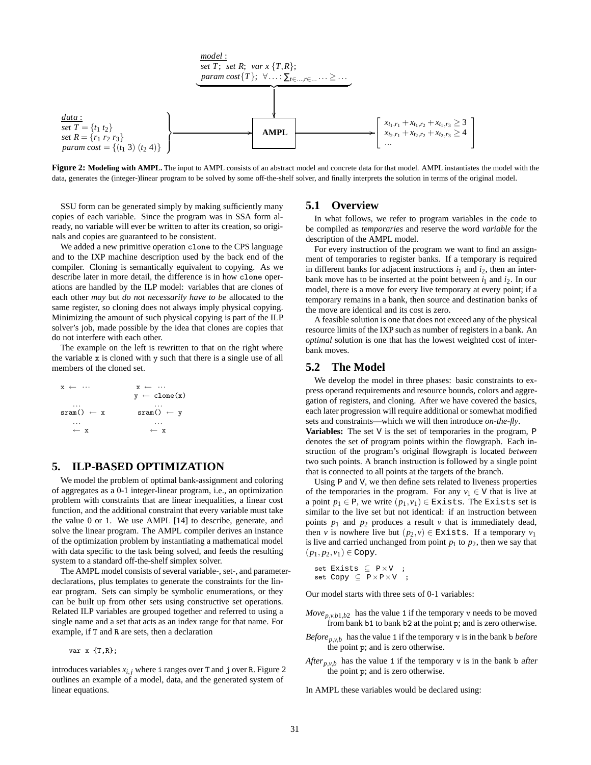

**Figure 2: Modeling with AMPL.** The input to AMPL consists of an abstract model and concrete data for that model. AMPL instantiates the model with the data, generates the (integer-)linear program to be solved by some off-the-shelf solver, and finally interprets the solution in terms of the original model.

SSU form can be generated simply by making sufficiently many copies of each variable. Since the program was in SSA form already, no variable will ever be written to after its creation, so originals and copies are guaranteed to be consistent.

We added a new primitive operation clone to the CPS language and to the IXP machine description used by the back end of the compiler. Cloning is semantically equivalent to copying. As we describe later in more detail, the difference is in how clone operations are handled by the ILP model: variables that are clones of each other *may* but *do not necessarily have to be* allocated to the same register, so cloning does not always imply physical copying. Minimizing the amount of such physical copying is part of the ILP solver's job, made possible by the idea that clones are copies that do not interfere with each other.

The example on the left is rewritten to that on the right where the variable x is cloned with y such that there is a single use of all members of the cloned set.

| $x \leftarrow \cdots$ | $\mathbf{x} \leftarrow \cdots$<br>$y \leftarrow \text{clone}(x)$ |  |  |  |
|-----------------------|------------------------------------------------------------------|--|--|--|
| $sram() \leftarrow x$ | $sram() \leftarrow y$                                            |  |  |  |
| .                     |                                                                  |  |  |  |
| $\leftarrow$ x        | $\leftarrow$ x                                                   |  |  |  |

# **5. ILP-BASED OPTIMIZATION**

We model the problem of optimal bank-assignment and coloring of aggregates as a 0-1 integer-linear program, i.e., an optimization problem with constraints that are linear inequalities, a linear cost function, and the additional constraint that every variable must take the value 0 or 1. We use AMPL [14] to describe, generate, and solve the linear program. The AMPL compiler derives an instance of the optimization problem by instantiating a mathematical model with data specific to the task being solved, and feeds the resulting system to a standard off-the-shelf simplex solver.

The AMPL model consists of several variable-, set-, and parameterdeclarations, plus templates to generate the constraints for the linear program. Sets can simply be symbolic enumerations, or they can be built up from other sets using constructive set operations. Related ILP variables are grouped together and referred to using a single name and a set that acts as an index range for that name. For example, if T and R are sets, then a declaration

var x {T,R};

introduces variables  $x_{i,j}$  where i ranges over T and j over R. Figure 2 outlines an example of a model, data, and the generated system of linear equations.

# **5.1 Overview**

In what follows, we refer to program variables in the code to be compiled as *temporaries* and reserve the word *variable* for the description of the AMPL model.

For every instruction of the program we want to find an assignment of temporaries to register banks. If a temporary is required in different banks for adjacent instructions  $i_1$  and  $i_2$ , then an interbank move has to be inserted at the point between  $i_1$  and  $i_2$ . In our model, there is a move for every live temporary at every point; if a temporary remains in a bank, then source and destination banks of the move are identical and its cost is zero.

A feasible solution is one that does not exceed any of the physical resource limits of the IXP such as number of registers in a bank. An *optimal* solution is one that has the lowest weighted cost of interbank moves.

# **5.2 The Model**

We develop the model in three phases: basic constraints to express operand requirements and resource bounds, colors and aggregation of registers, and cloning. After we have covered the basics, each later progression will require additional or somewhat modified sets and constraints—which we will then introduce *on-the-fly*.

**Variables:** The set V is the set of temporaries in the program, P denotes the set of program points within the flowgraph. Each instruction of the program's original flowgraph is located *between* two such points. A branch instruction is followed by a single point that is connected to all points at the targets of the branch.

Using P and V, we then define sets related to liveness properties of the temporaries in the program. For any  $v_1 \in V$  that is live at a point  $p_1 \in P$ , we write  $(p_1, v_1) \in$  Exists. The Exists set is similar to the live set but not identical: if an instruction between points  $p_1$  and  $p_2$  produces a result  $\nu$  that is immediately dead, then *v* is nowhere live but  $(p_2, v) \in$  Exists. If a temporary  $v_1$ is live and carried unchanged from point  $p_1$  to  $p_2$ , then we say that  $(p_1, p_2, v_1) \in \text{Copy}.$ 

set E xists 
$$
\subseteq
$$
 P × V ;  
set Copy  $\subseteq$  P × P × V ;

Our model starts with three sets of 0-1 variables:

- *Move*<sub>p</sub>,*v*,*b*<sub>1</sub>,*b*<sub>2</sub> has the value 1 if the temporary v needs to be moved from bank b1 to bank b2 at the point p; and is zero otherwise.
- *Before*<sub> $p,v,b$ </sub> has the value 1 if the temporary v is in the bank b before the point p; and is zero otherwise.
- *After*<sub>p,*v*,*b*</sub> has the value 1 if the temporary v is in the bank b after the point p; and is zero otherwise.

In AMPL these variables would be declared using: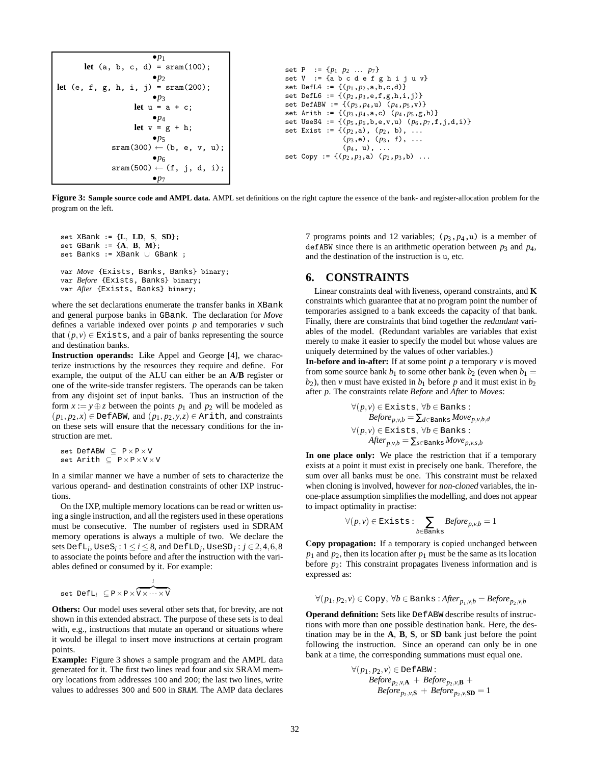•*p*<sup>1</sup> **let** (a, b, c, d) = sram(100); •*p*<sup>2</sup> **let** (e, f, g, h, i, j) = sram(200); •*p*<sup>3</sup> **let** u = a + c; •*p*<sup>4</sup> **let** v = g + h; •*p*<sup>5</sup> sram(300) ← (b, e, v, u); •*p*<sup>6</sup> sram(500) ← (f, j, d, i); •*p*<sup>7</sup> set P := {*p*<sup>1</sup> *p*<sup>2</sup> *... p*7} set V := {a b c d e f g h i j u v} set DefL4 := {(*p*1,*p*2,a,b,c,d)} set DefL6 := {(*p*2,*p*3,e,f,g,h,i,j)} set DefABW := {(*p*3,*p*4,u) (*p*4,*p*5,v)} set Arith := {(*p*3,*p*4,a,c) (*p*4,*p*5,g,h)} set UseS4 := {(*p*5,*p*6,b,e,v,u) (*p*6,*p*7,f,j,d,i)} set Exist := {(*p*2,a), (*p*2, b), ... (*p*3,e), (*p*3, f), ... (*p*4, u), ... set Copy := {(*p*2,*p*3,a) (*p*2,*p*3,b) ...

**Figure 3: Sample source code and AMPL data.** AMPL set definitions on the right capture the essence of the bank- and register-allocation problem for the program on the left.

set XBank := {**L***,* **LD***,* **S***,* **SD**}; set GBank := {**A***,* **B***,* **M**}; set Banks := XBank ∪ GBank ; var *Move* {Exists, Banks, Banks} binary; var *Before* {Exists, Banks} binary; var *After* {Exists, Banks} binary;

where the set declarations enumerate the transfer banks in XBank and general purpose banks in GBank. The declaration for *Move* defines a variable indexed over points *p* and temporaries *v* such that  $(p, v) \in$  Exists, and a pair of banks representing the source and destination banks.

**Instruction operands:** Like Appel and George [4], we characterize instructions by the resources they require and define. For example, the output of the ALU can either be an **A**/**B** register or one of the write-side transfer registers. The operands can be taken from any disjoint set of input banks. Thus an instruction of the form  $x := y \oplus z$  between the points  $p_1$  and  $p_2$  will be modeled as  $(p_1, p_2, x) \in \text{DefABW}$ , and  $(p_1, p_2, y, z) \in \text{Arith}$ , and constraints on these sets will ensure that the necessary conditions for the instruction are met.

```
set DefABW ⊆ P×P×V
set Arith ⊆ P×P×V×V
```
In a similar manner we have a number of sets to characterize the various operand- and destination constraints of other IXP instructions.

On the IXP, multiple memory locations can be read or written using a single instruction, and all the registers used in these operations must be consecutive. The number of registers used in SDRAM memory operations is always a multiple of two. We declare the sets Def<sub>Li</sub>, UseS<sub>i</sub>:  $1 \le i \le 8$ , and DefLD<sub>j</sub>, UseSD<sub>j</sub>:  $j \in 2, 4, 6, 8$ to associate the points before and after the instruction with the variables defined or consumed by it. For example:

$$
\texttt{set DefL}_i \subseteq P \times P \times \overbrace{V \times \cdots \times V}^i
$$

**Others:** Our model uses several other sets that, for brevity, are not shown in this extended abstract. The purpose of these sets is to deal with, e.g., instructions that mutate an operand or situations where it would be illegal to insert move instructions at certain program points.

**Example:** Figure 3 shows a sample program and the AMPL data generated for it. The first two lines read four and six SRAM memory locations from addresses 100 and 200; the last two lines, write values to addresses 300 and 500 in SRAM. The AMP data declares

7 programs points and 12 variables;  $(p_3, p_4, u)$  is a member of defABW since there is an arithmetic operation between  $p_3$  and  $p_4$ , and the destination of the instruction is u, etc.

# **6. CONSTRAINTS**

Linear constraints deal with liveness, operand constraints, and **K** constraints which guarantee that at no program point the number of temporaries assigned to a bank exceeds the capacity of that bank. Finally, there are constraints that bind together the redundant variables of the model. (Redundant variables are variables that exist merely to make it easier to specify the model but whose values are uniquely determined by the values of other variables.)

**In-before and in-after:** If at some point  $p$  a temporary  $v$  is moved from some source bank  $b_1$  to some other bank  $b_2$  (even when  $b_1 =$  $b_2$ ), then *v* must have existed in  $b_1$  before *p* and it must exist in  $b_2$ after *p*. The constraints relate *Before* and *After* to *Move*s:

$$
\forall (p, v) \in \text{Exists}, \forall b \in \text{Banks} : \\ \text{Before}_{p, v, b} = \sum_{d \in \text{Banks}} \text{Move}_{p, v, b, d} \\ \forall (p, v) \in \text{Exists}, \forall b \in \text{Banks} : \\ \text{After}_{p, v, b} = \sum_{s \in \text{Banks}} \text{Move}_{p, v, s, b}
$$

**In one place only:** We place the restriction that if a temporary exists at a point it must exist in precisely one bank. Therefore, the sum over all banks must be one. This constraint must be relaxed when cloning is involved, however for non-cloned variables, the inone-place assumption simplifies the modelling, and does not appear to impact optimality in practise:

$$
\forall (p,v) \in \texttt{Exists}: \sum_{b \in \texttt{Banks}} \textit{Before}_{p,v,b} = 1
$$

**Copy propagation:** If a temporary is copied unchanged between  $p_1$  and  $p_2$ , then its location after  $p_1$  must be the same as its location before  $p_2$ : This constraint propagates liveness information and is expressed as:

$$
\forall (p_1, p_2, v) \in \text{Copy}, \ \forall b \in \text{Banks} : After_{p_1, v, b} = Before_{p_2, v, b}
$$

**Operand definition:** Sets like DefABW describe results of instructions with more than one possible destination bank. Here, the destination may be in the **A**, **B**, **S**, or **SD** bank just before the point following the instruction. Since an operand can only be in one bank at a time, the corresponding summations must equal one.

$$
\forall (p_1, p_2, v) \in \texttt{DefABW} : \nBefore_{p_2, v, A} + Before_{p_2, v, B} +\nBefore_{p_2, v, S} + Before_{p_2, v, SD} = 1
$$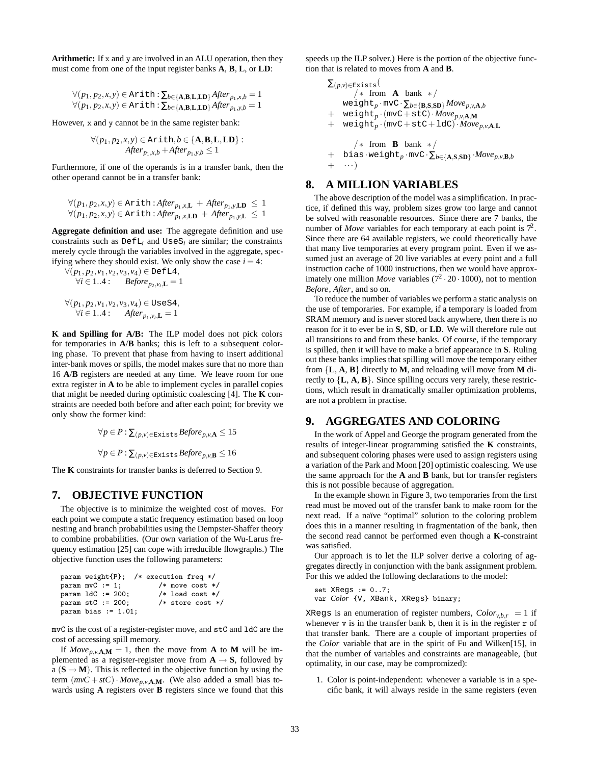**Arithmetic:** If x and y are involved in an ALU operation, then they must come from one of the input register banks **A**, **B**, **L**, or **LD**:

$$
\forall (p_1, p_2, x, y) \in \text{Arith}: \sum_{b \in \{\mathbf{A}, \mathbf{B}, \mathbf{L}, \mathbf{LD}\}} After_{p_1, x, b} = 1
$$
  

$$
\forall (p_1, p_2, x, y) \in \text{Arith}: \sum_{b \in \{\mathbf{A}, \mathbf{B}, \mathbf{L}, \mathbf{LD}\}} After_{p_1, y, b} = 1
$$

However, x and y cannot be in the same register bank:

$$
\forall (p_1, p_2, x, y) \in \text{Arith}, b \in \{\mathbf{A}, \mathbf{B}, \mathbf{L}, \mathbf{LD}\} : \nAfter p_1, x, b + After p_1, y, b \le 1
$$

Furthermore, if one of the operands is in a transfer bank, then the other operand cannot be in a transfer bank:

$$
\forall (p_1, p_2, x, y) \in \text{Arith}: After_{p_1, x, \mathbf{L}} + After_{p_1, y, \mathbf{LD}} \le 1
$$
  

$$
\forall (p_1, p_2, x, y) \in \text{Arith}: After_{p_1, x, \mathbf{LD}} + After_{p_1, y, \mathbf{L}} \le 1
$$

**Aggregate definition and use:** The aggregate definition and use constraints such as  $DefL_i$  and  $UseS_i$  are similar; the constraints merely cycle through the variables involved in the aggregate, specifying where they should exist. We only show the case  $i = 4$ :

$$
\begin{aligned} &\forall (p_1,p_2,v_1,v_2,v_3,v_4) \in \texttt{DefL4}, \\ &\forall i \in 1..4: \quad \textit{Before}_{p_2,v_i,\mathbf{L}} = 1 \\ &\forall (p_1,p_2,v_1,v_2,v_3,v_4) \in \texttt{UseS4}, \\ &\forall i \in 1..4: \quad \textit{After}_{p_1,v_i,\mathbf{L}} = 1 \end{aligned}
$$

**K and Spilling for A/B:** The ILP model does not pick colors for temporaries in **A**/**B** banks; this is left to a subsequent coloring phase. To prevent that phase from having to insert additional inter-bank moves or spills, the model makes sure that no more than 16 **A**/**B** registers are needed at any time. We leave room for one extra register in **A** to be able to implement cycles in parallel copies that might be needed during optimistic coalescing [4]. The **K** constraints are needed both before and after each point; for brevity we only show the former kind:

$$
\forall p \in P : \sum_{(p,v)\in \text{Exists}} Before_{p,v,\mathbf{A}} \le 15
$$

$$
\forall p \in P : \sum_{(p,v)\in \text{Exists}} Before_{p,v,\mathbf{B}} \le 16
$$

The **K** constraints for transfer banks is deferred to Section 9.

#### **7. OBJECTIVE FUNCTION**

The objective is to minimize the weighted cost of moves. For each point we compute a static frequency estimation based on loop nesting and branch probabilities using the Dempster-Shaffer theory to combine probabilities. (Our own variation of the Wu-Larus frequency estimation [25] can cope with irreducible flowgraphs.) The objective function uses the following parameters:

```
param weight{P}; /* execution freq */<br>param mvC := 1; /* move cost */
param m\text{vC} := 1; /* move cost */<br>param 1dC := 200; /* load cost */
param 1dC := 200;<br>param stC := 200:
                                        /* store cost */param bias := 1.01;
```
mvC is the cost of a register-register move, and stC and ldC are the cost of accessing spill memory.

If  $Move_{p,v,\mathbf{A},\mathbf{M}} = 1$ , then the move from **A** to **M** will be implemented as a register-register move from  $A \rightarrow S$ , followed by a  $(S \rightarrow M)$ . This is reflected in the objective function by using the term  $(mvC + stC) \cdot Move_{p,v,A,M}$ . (We also added a small bias towards using **A** registers over **B** registers since we found that this speeds up the ILP solver.) Here is the portion of the objective function that is related to moves from **A** and **B**.

 $\sum_{(p,v)\in\text{Exists}}($ */* ∗ from **A** bank ∗ */*  $\text{weight}_p \cdot \text{mvC} \cdot \sum_{b \in \{\mathbf{B}, \mathbf{S}, \mathbf{SD}\}} Move_{p,v,\mathbf{A},b}$ + weight*<sup>p</sup>* ·(mvC+stC)·*Movep,v,***A***,***<sup>M</sup>**  $+$  weight<sub>p</sub> · (mvC + stC + ldC) · Move<sub>p</sub><sub>*x*</sub>**A**<sub>L</sub> */* ∗ from **B** bank ∗ */* + bias·weight*<sup>p</sup>* ·mvC·∑*b*∈{**A***,***S***,***SD**} ·*Movep,v,***B***,<sup>b</sup>*  $\cdots$ )

# **8. A MILLION VARIABLES**

The above description of the model was a simplification. In practice, if defined this way, problem sizes grow too large and cannot be solved with reasonable resources. Since there are 7 banks, the number of *Move* variables for each temporary at each point is  $7^2$ . Since there are 64 available registers, we could theoretically have that many live temporaries at every program point. Even if we assumed just an average of 20 live variables at every point and a full instruction cache of 1000 instructions, then we would have approximately one million *Move* variables  $(7^2 \cdot 20 \cdot 1000)$ , not to mention *Before*, *After*, and so on.

To reduce the number of variables we perform a static analysis on the use of temporaries. For example, if a temporary is loaded from SRAM memory and is never stored back anywhere, then there is no reason for it to ever be in **S**, **SD**, or **LD**. We will therefore rule out all transitions to and from these banks. Of course, if the temporary is spilled, then it will have to make a brief appearance in **S**. Ruling out these banks implies that spilling will move the temporary either from *{***L**, **A**, **B***}* directly to **M**, and reloading will move from **M** directly to *{***L**, **A**, **B***}*. Since spilling occurs very rarely, these restrictions, which result in dramatically smaller optimization problems, are not a problem in practise.

# **9. AGGREGATES AND COLORING**

In the work of Appel and George the program generated from the results of integer-linear programming satisfied the **K** constraints, and subsequent coloring phases were used to assign registers using a variation of the Park and Moon [20] optimistic coalescing. We use the same approach for the **A** and **B** bank, but for transfer registers this is not possible because of aggregation.

In the example shown in Figure 3, two temporaries from the first read must be moved out of the transfer bank to make room for the next read. If a naïve "optimal" solution to the coloring problem does this in a manner resulting in fragmentation of the bank, then the second read cannot be performed even though a **K**-constraint was satisfied.

Our approach is to let the ILP solver derive a coloring of aggregates directly in conjunction with the bank assignment problem. For this we added the following declarations to the model:

```
set XRegs := 0..7;
var Color {V, XBank, XRegs} binary;
```
XRegs is an enumeration of register numbers,  $Color_{v,b,r} = 1$  if whenever  $v$  is in the transfer bank b, then it is in the register  $r$  of that transfer bank. There are a couple of important properties of the *Color* variable that are in the spirit of Fu and Wilken[15], in that the number of variables and constraints are manageable, (but optimality, in our case, may be compromized):

1. Color is point-independent: whenever a variable is in a specific bank, it will always reside in the same registers (even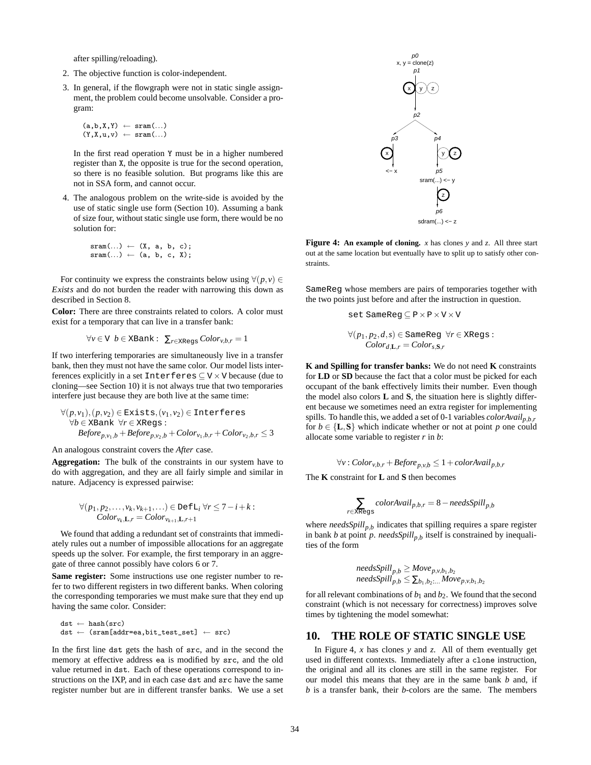after spilling/reloading).

- 2. The objective function is color-independent.
- 3. In general, if the flowgraph were not in static single assignment, the problem could become unsolvable. Consider a program:

```
(a, b, X, Y) \leftarrow \text{gram}(\ldots)(Y, X, u, v) \leftarrow \text{ gram}(\ldots)
```
In the first read operation Y must be in a higher numbered register than X, the opposite is true for the second operation, so there is no feasible solution. But programs like this are not in SSA form, and cannot occur.

4. The analogous problem on the write-side is avoided by the use of static single use form (Section 10). Assuming a bank of size four, without static single use form, there would be no solution for:

$$
\texttt{sram}(\ldots) \leftarrow (X, a, b, c);\\ \texttt{sram}(\ldots) \leftarrow (a, b, c, X);
$$

For continuity we express the constraints below using  $\forall (p, v) \in$ *Exists* and do not burden the reader with narrowing this down as described in Section 8.

**Color:** There are three constraints related to colors. A color must exist for a temporary that can live in a transfer bank:

$$
\forall v \in V \ b \in \texttt{XBank}: \ \sum_{r \in \texttt{XRegs}} Color_{v,b,r} = 1
$$

If two interfering temporaries are simultaneously live in a transfer bank, then they must not have the same color. Our model lists interferences explicitly in a set Interferes  $\subseteq$  V  $\times$  V because (due to cloning—see Section 10) it is not always true that two temporaries interfere just because they are both live at the same time:

$$
\forall (p, v_1), (p, v_2) \in \text{Exists}, (v_1, v_2) \in \text{Interferes}
$$
  
\n
$$
\forall b \in \text{XBank } \forall r \in \text{XRegs :}
$$
  
\n
$$
Before_{p, v_1, b} + Before_{p, v_2, b} + Color_{v_1, b, r} + Color_{v_2, b, r} \le 3
$$

An analogous constraint covers the *After* case.

**Aggregation:** The bulk of the constraints in our system have to do with aggregation, and they are all fairly simple and similar in nature. Adjacency is expressed pairwise:

$$
\forall (p_1, p_2, \dots, v_k, v_{k+1}, \dots) \in \text{DefL}_i \,\forall r \le 7 - i + k:
$$
  
Color<sub>v<sub>k</sub>, L,r = Color<sub>v<sub>k+1</sub>, L,r+1</sub></sub>

We found that adding a redundant set of constraints that immediately rules out a number of impossible allocations for an aggregate speeds up the solver. For example, the first temporary in an aggregate of three cannot possibly have colors 6 or 7.

**Same register:** Some instructions use one register number to refer to two different registers in two different banks. When coloring the corresponding temporaries we must make sure that they end up having the same color. Consider:

$$
\begin{array}{lcl} \texttt{dst} &\leftarrow & \texttt{hash}(\texttt{src}) \\ \texttt{dst} &\leftarrow & (\texttt{sram}[\texttt{addr=ea,bit\_test\_set}] &\leftarrow & \texttt{src}) \end{array}
$$

In the first line dst gets the hash of src, and in the second the memory at effective address ea is modified by src, and the old value returned in dst. Each of these operations correspond to instructions on the IXP, and in each case dst and src have the same register number but are in different transfer banks. We use a set



**Figure 4: An example of cloning.** *x* has clones *y* and *z*. All three start out at the same location but eventually have to split up to satisfy other constraints.

SameReg whose members are pairs of temporaries together with the two points just before and after the instruction in question. set SameReg ⊆ P×

set SameReg 
$$
\subseteq
$$
 P × P × V × V  
\n $\forall (p_1, p_2, d, s) \in \text{SameReg } \forall r \in \text{XRegs :}$   
\n $Color_{d, \text{L}, r} = Color_{s, \text{S}, r}$ 

**K and Spilling for transfer banks:** We do not need **K** constraints for **LD** or **SD** because the fact that a color must be picked for each occupant of the bank effectively limits their number. Even though the model also colors **L** and **S**, the situation here is slightly different because we sometimes need an extra register for implementing spills. To handle this, we added a set of 0-1 variables *colorAvail*<sub>*p*</sub>*b*,*r* for  $b \in \{L, S\}$  which indicate whether or not at point *p* one could allocate some variable to register *r* in *b*:

$$
\forall v : Color_{v,b,r} + Before_{p,v,b} \le 1 + colorAvail_{p,b,r}
$$

The **K** constraint for **L** and **S** then becomes

$$
\sum_{r \in \texttt{XRegs}} colorAvailable_{p,b,r} = 8 - needsSplit_{p,b}
$$

where  $needsSplit_{p,b}$  indicates that spilling requires a spare register in bank *b* at point *p*. *needsSpill*<sub>*p*,*b*</sub> itself is constrained by inequalities of the form

$$
needsSplit_{p,b} \geq Move_{p,v,b_1,b_2}
$$
  

$$
needsSplit_{p,b} \leq \sum_{b_1,b_2,...} Move_{p,v,b_1,b_2}
$$

for all relevant combinations of  $b_1$  and  $b_2$ . We found that the second constraint (which is not necessary for correctness) improves solve times by tightening the model somewhat:

#### **10. THE ROLE OF STATIC SINGLE USE**

In Figure 4, *x* has clones *y* and *z*. All of them eventually get used in different contexts. Immediately after a clone instruction, the original and all its clones are still in the same register. For our model this means that they are in the same bank *b* and, if *b* is a transfer bank, their *b*-colors are the same. The members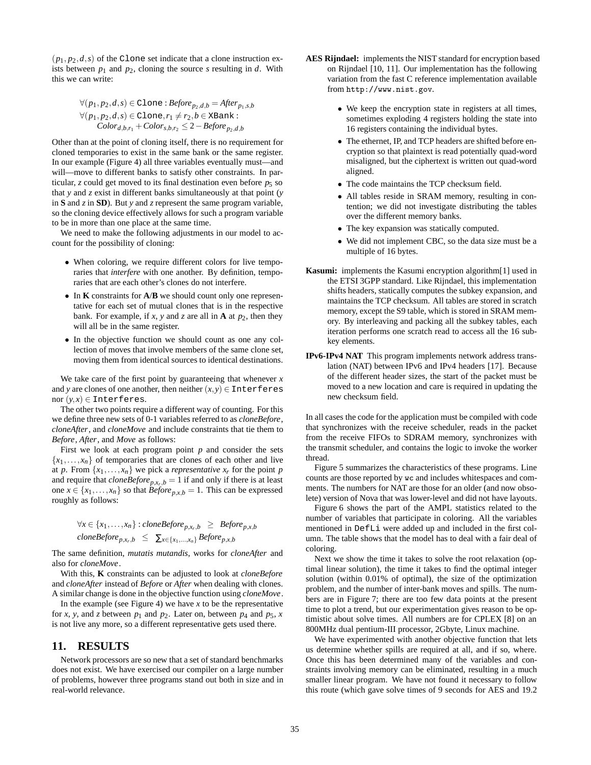$(p_1, p_2, d, s)$  of the Clone set indicate that a clone instruction exists between  $p_1$  and  $p_2$ , cloning the source  $s$  resulting in  $d$ . With this we can write:

$$
\forall (p_1, p_2, d, s) \in \text{Clone}: Before_{p_2, d, b} = After_{p_1, s, b}
$$

$$
\forall (p_1, p_2, d, s) \in \text{Clone}, r_1 \neq r_2, b \in \text{XBank}:
$$

$$
Color_{d, b, r_1} + Color_{s, b, r_2} \leq 2 - Before_{p_2, d, b}
$$

Other than at the point of cloning itself, there is no requirement for cloned temporaries to exist in the same bank or the same register. In our example (Figure 4) all three variables eventually must—and will—move to different banks to satisfy other constraints. In particular, *z* could get moved to its final destination even before  $p_5$  so that *y* and *z* exist in different banks simultaneously at that point (*y* in **S** and *z* in **SD**). But *y* and *z* represent the same program variable, so the cloning device effectively allows for such a program variable to be in more than one place at the same time.

We need to make the following adjustments in our model to account for the possibility of cloning:

- When coloring, we require different colors for live temporaries that *interfere* with one another. By definition, temporaries that are each other's clones do not interfere.
- In **K** constraints for **A**/**B** we should count only one representative for each set of mutual clones that is in the respective bank. For example, if x, y and z are all in **A** at  $p_2$ , then they will all be in the same register.
- In the objective function we should count as one any collection of moves that involve members of the same clone set, moving them from identical sources to identical destinations.

We take care of the first point by guaranteeing that whenever *x* and *y* are clones of one another, then neither  $(x, y) \in \text{Interferes}$ nor  $(y, x) \in$  Interferes.

The other two points require a different way of counting. For this we define three new sets of 0-1 variables referred to as *cloneBefore*, *cloneAfter*, and *cloneMove* and include constraints that tie them to *Before*, *After*, and *Move* as follows:

First we look at each program point *p* and consider the sets  ${x_1, \ldots, x_n}$  of temporaries that are clones of each other and live at *p*. From  $\{x_1, \ldots, x_n\}$  we pick a *representative*  $x_r$  for the point *p* and require that  $cloneBefore_{p,x_r,b} = 1$  if and only if there is at least one  $x \in \{x_1, \ldots, x_n\}$  so that  $\overline{Before}_{p,x,b} = 1$ . This can be expressed roughly as follows:

$$
\forall x \in \{x_1, \dots, x_n\} : cloneBefore_{p,x_r,b} \geq Before_{p,x,b}
$$
  
cloneBefore\_{p,x\_r,b} \leq \sum\_{x \in \{x\_1, \dots, x\_n\}} Before\_{p,x,b}

The same definition, *mutatis mutandis*, works for *cloneAfter* and also for *cloneMove*.

With this, **K** constraints can be adjusted to look at *cloneBefore* and *cloneAfter* instead of *Before* or *After* when dealing with clones. A similar change is done in the objective function using *cloneMove*.

In the example (see Figure 4) we have  $x$  to be the representative for *x*, *y*, and *z* between  $p_1$  and  $p_2$ . Later on, between  $p_4$  and  $p_5$ , *x* is not live any more, so a different representative gets used there.

# **11. RESULTS**

Network processors are so new that a set of standard benchmarks does not exist. We have exercised our compiler on a large number of problems, however three programs stand out both in size and in real-world relevance.

- **AES Rijndael:** implements the NIST standard for encryption based on Rijndael [10, 11]. Our implementation has the following variation from the fast C reference implementation available from http://www.nist.gov.
	- We keep the encryption state in registers at all times, sometimes exploding 4 registers holding the state into 16 registers containing the individual bytes.
	- The ethernet, IP, and TCP headers are shifted before encryption so that plaintext is read potentially quad-word misaligned, but the ciphertext is written out quad-word aligned.
	- The code maintains the TCP checksum field.
	- All tables reside in SRAM memory, resulting in contention; we did not investigate distributing the tables over the different memory banks.
	- The key expansion was statically computed.
	- We did not implement CBC, so the data size must be a multiple of 16 bytes.
- **Kasumi:** implements the Kasumi encryption algorithm[1] used in the ETSI 3GPP standard. Like Rijndael, this implementation shifts headers, statically computes the subkey expansion, and maintains the TCP checksum. All tables are stored in scratch memory, except the S9 table, which is stored in SRAM memory. By interleaving and packing all the subkey tables, each iteration performs one scratch read to access all the 16 subkey elements.
- **IPv6-IPv4 NAT** This program implements network address translation (NAT) between IPv6 and IPv4 headers [17]. Because of the different header sizes, the start of the packet must be moved to a new location and care is required in updating the new checksum field.

In all cases the code for the application must be compiled with code that synchronizes with the receive scheduler, reads in the packet from the receive FIFOs to SDRAM memory, synchronizes with the transmit scheduler, and contains the logic to invoke the worker thread.

Figure 5 summarizes the characteristics of these programs. Line counts are those reported by wc and includes whitespaces and comments. The numbers for NAT are those for an older (and now obsolete) version of Nova that was lower-level and did not have layouts.

Figure 6 shows the part of the AMPL statistics related to the number of variables that participate in coloring. All the variables mentioned in DefLi were added up and included in the first column. The table shows that the model has to deal with a fair deal of coloring.

Next we show the time it takes to solve the root relaxation (optimal linear solution), the time it takes to find the optimal integer solution (within 0.01% of optimal), the size of the optimization problem, and the number of inter-bank moves and spills. The numbers are in Figure 7; there are too few data points at the present time to plot a trend, but our experimentation gives reason to be optimistic about solve times. All numbers are for CPLEX [8] on an 800MHz dual pentium-III processor, 2Gbyte, Linux machine.

We have experimented with another objective function that lets us determine whether spills are required at all, and if so, where. Once this has been determined many of the variables and constraints involving memory can be eliminated, resulting in a much smaller linear program. We have not found it necessary to follow this route (which gave solve times of 9 seconds for AES and 19.2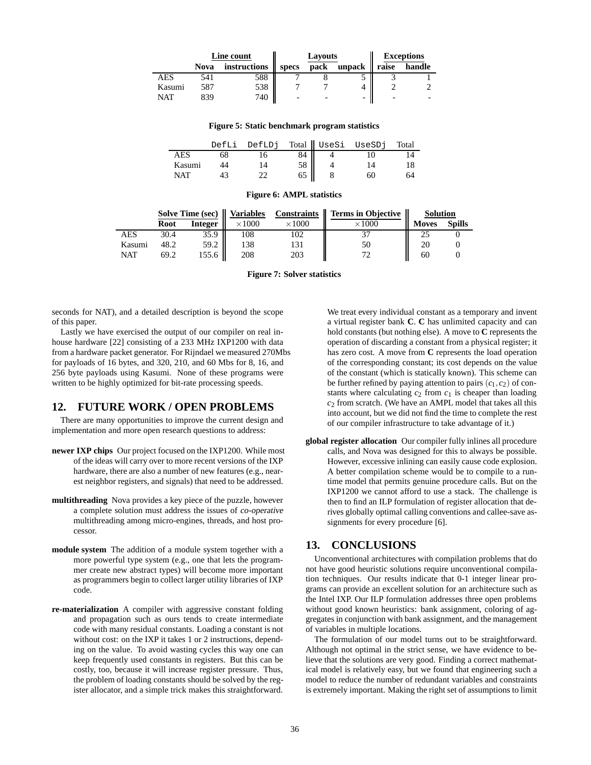|        |             | Line count   |       | Layouts | <b>Exceptions</b>         |  |        |
|--------|-------------|--------------|-------|---------|---------------------------|--|--------|
|        | <b>Nova</b> | instructions | specs | pack    | unpack $\ \text{raise}\ $ |  | handle |
| AES    | 541         | 588          |       |         |                           |  |        |
| Kasumi | 587         | 538          |       |         |                           |  |        |
| NAT    | 839         | 740          | -     |         | -                         |  |        |

#### **Figure 5: Static benchmark program statistics**

|            |    |    |       | DefLi DefLDj Total UseSi UseSDj Total |    |
|------------|----|----|-------|---------------------------------------|----|
| AES        | 68 |    | 84 II |                                       |    |
| Kasumi     | 44 | 14 | 58    |                                       |    |
| <b>NAT</b> | 43 |    | 65    | 60                                    | 64 |

#### **Figure 6: AMPL statistics**

|        | <b>Solve Time (sec)</b> |         | <b>Variables</b> |               | <b>Constraints</b> Terms in Objective | <b>Solution</b> |               |
|--------|-------------------------|---------|------------------|---------------|---------------------------------------|-----------------|---------------|
|        | Root                    | Integer | $\times1000$     | $\times 1000$ | 1000                                  | <b>Moves</b>    | <b>Spills</b> |
| AES    | 30.4                    | 35.9    | 108              | 102           | ີ                                     |                 |               |
| Kasumi | 48.2                    | 59.2    | 138              | 131           | 50                                    | 20              |               |
| NAT    | 69.2                    | 55.6    | 208              | 203           |                                       | 60              |               |

**Figure 7: Solver statistics**

seconds for NAT), and a detailed description is beyond the scope of this paper.

Lastly we have exercised the output of our compiler on real inhouse hardware [22] consisting of a 233 MHz IXP1200 with data from a hardware packet generator. For Rijndael we measured 270Mbs for payloads of 16 bytes, and 320, 210, and 60 Mbs for 8, 16, and 256 byte payloads using Kasumi. None of these programs were written to be highly optimized for bit-rate processing speeds.

# **12. FUTURE WORK / OPEN PROBLEMS**

There are many opportunities to improve the current design and implementation and more open research questions to address:

- **newer IXP chips** Our project focused on the IXP1200. While most of the ideas will carry over to more recent versions of the IXP hardware, there are also a number of new features (e.g., nearest neighbor registers, and signals) that need to be addressed.
- **multithreading** Nova provides a key piece of the puzzle, however a complete solution must address the issues of co-operative multithreading among micro-engines, threads, and host processor.
- **module system** The addition of a module system together with a more powerful type system (e.g., one that lets the programmer create new abstract types) will become more important as programmers begin to collect larger utility libraries of IXP code.
- **re-materialization** A compiler with aggressive constant folding and propagation such as ours tends to create intermediate code with many residual constants. Loading a constant is not without cost: on the IXP it takes 1 or 2 instructions, depending on the value. To avoid wasting cycles this way one can keep frequently used constants in registers. But this can be costly, too, because it will increase register pressure. Thus, the problem of loading constants should be solved by the register allocator, and a simple trick makes this straightforward.

We treat every individual constant as a temporary and invent a virtual register bank **C**. **C** has unlimited capacity and can hold constants (but nothing else). A move to **C** represents the operation of discarding a constant from a physical register; it has zero cost. A move from **C** represents the load operation of the corresponding constant; its cost depends on the value of the constant (which is statically known). This scheme can be further refined by paying attention to pairs  $(c_1, c_2)$  of constants where calculating  $c_2$  from  $c_1$  is cheaper than loading *c*<sup>2</sup> from scratch. (We have an AMPL model that takes all this into account, but we did not find the time to complete the rest of our compiler infrastructure to take advantage of it.)

**global register allocation** Our compiler fully inlines all procedure calls, and Nova was designed for this to always be possible. However, excessive inlining can easily cause code explosion. A better compilation scheme would be to compile to a runtime model that permits genuine procedure calls. But on the IXP1200 we cannot afford to use a stack. The challenge is then to find an ILP formulation of register allocation that derives globally optimal calling conventions and callee-save assignments for every procedure [6].

#### **13. CONCLUSIONS**

Unconventional architectures with compilation problems that do not have good heuristic solutions require unconventional compilation techniques. Our results indicate that 0-1 integer linear programs can provide an excellent solution for an architecture such as the Intel IXP. Our ILP formulation addresses three open problems without good known heuristics: bank assignment, coloring of aggregates in conjunction with bank assignment, and the management of variables in multiple locations.

The formulation of our model turns out to be straightforward. Although not optimal in the strict sense, we have evidence to believe that the solutions are very good. Finding a correct mathematical model is relatively easy, but we found that engineering such a model to reduce the number of redundant variables and constraints is extremely important. Making the right set of assumptions to limit